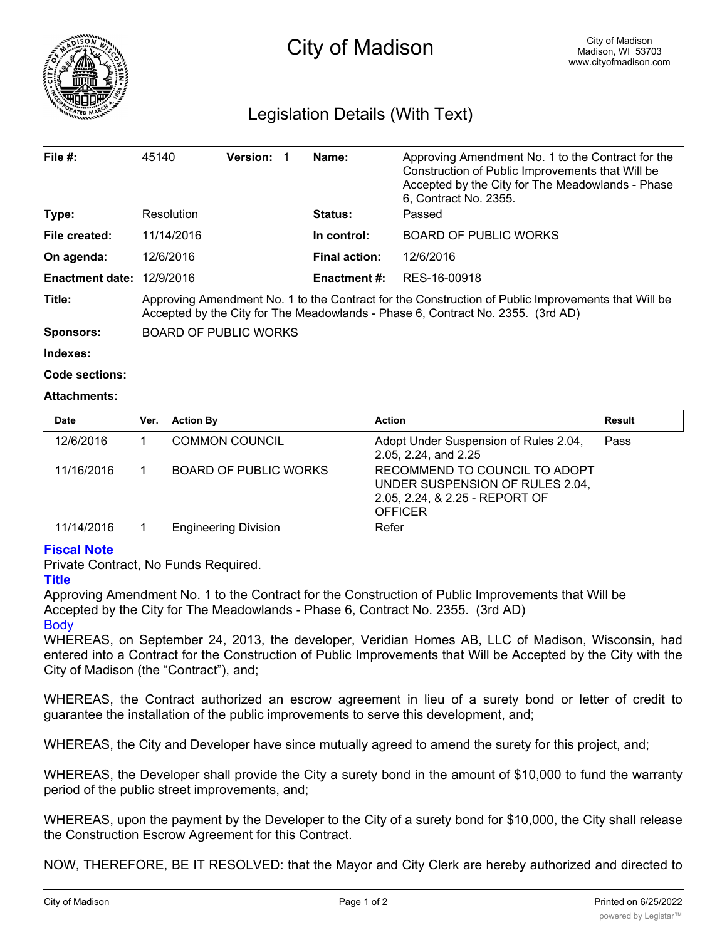

## Legislation Details (With Text)

| File #:                | 45140                                                                                                                                                                                 | Version: |  | Name:                | Approving Amendment No. 1 to the Contract for the<br>Construction of Public Improvements that Will be<br>Accepted by the City for The Meadowlands - Phase<br>6, Contract No. 2355. |  |
|------------------------|---------------------------------------------------------------------------------------------------------------------------------------------------------------------------------------|----------|--|----------------------|------------------------------------------------------------------------------------------------------------------------------------------------------------------------------------|--|
| Type:                  | Resolution                                                                                                                                                                            |          |  | <b>Status:</b>       | Passed                                                                                                                                                                             |  |
| File created:          | 11/14/2016                                                                                                                                                                            |          |  | In control:          | <b>BOARD OF PUBLIC WORKS</b>                                                                                                                                                       |  |
| On agenda:             | 12/6/2016                                                                                                                                                                             |          |  | <b>Final action:</b> | 12/6/2016                                                                                                                                                                          |  |
| <b>Enactment date:</b> | 12/9/2016                                                                                                                                                                             |          |  | <b>Enactment #:</b>  | RES-16-00918                                                                                                                                                                       |  |
| Title:                 | Approving Amendment No. 1 to the Contract for the Construction of Public Improvements that Will be<br>Accepted by the City for The Meadowlands - Phase 6, Contract No. 2355. (3rd AD) |          |  |                      |                                                                                                                                                                                    |  |
| Sponsors:              | <b>BOARD OF PUBLIC WORKS</b>                                                                                                                                                          |          |  |                      |                                                                                                                                                                                    |  |
| Indexes:               |                                                                                                                                                                                       |          |  |                      |                                                                                                                                                                                    |  |

```
Code sections:
```
## **Attachments:**

| <b>Date</b> | Ver. | <b>Action By</b>             | <b>Action</b>                                                                                                        | Result |
|-------------|------|------------------------------|----------------------------------------------------------------------------------------------------------------------|--------|
| 12/6/2016   |      | <b>COMMON COUNCIL</b>        | Adopt Under Suspension of Rules 2.04,<br>2.05, 2.24, and 2.25                                                        | Pass   |
| 11/16/2016  |      | <b>BOARD OF PUBLIC WORKS</b> | RECOMMEND TO COUNCIL TO ADOPT<br>UNDER SUSPENSION OF RULES 2.04,<br>2.05, 2.24, & 2.25 - REPORT OF<br><b>OFFICER</b> |        |
| 11/14/2016  |      | <b>Engineering Division</b>  | Refer                                                                                                                |        |

## **Fiscal Note**

Private Contract, No Funds Required.

## **Title**

Approving Amendment No. 1 to the Contract for the Construction of Public Improvements that Will be Accepted by the City for The Meadowlands - Phase 6, Contract No. 2355. (3rd AD) **Body** 

WHEREAS, on September 24, 2013, the developer, Veridian Homes AB, LLC of Madison, Wisconsin, had entered into a Contract for the Construction of Public Improvements that Will be Accepted by the City with the City of Madison (the "Contract"), and;

WHEREAS, the Contract authorized an escrow agreement in lieu of a surety bond or letter of credit to guarantee the installation of the public improvements to serve this development, and;

WHEREAS, the City and Developer have since mutually agreed to amend the surety for this project, and;

WHEREAS, the Developer shall provide the City a surety bond in the amount of \$10,000 to fund the warranty period of the public street improvements, and;

WHEREAS, upon the payment by the Developer to the City of a surety bond for \$10,000, the City shall release the Construction Escrow Agreement for this Contract.

NOW, THEREFORE, BE IT RESOLVED: that the Mayor and City Clerk are hereby authorized and directed to